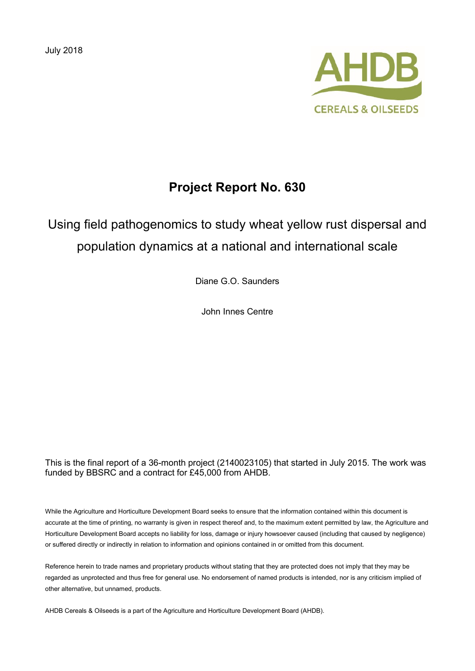July 2018



## **Project Report No. 630**

# Using field pathogenomics to study wheat yellow rust dispersal and population dynamics at a national and international scale

Diane G.O. Saunders

John Innes Centre

This is the final report of a 36-month project (2140023105) that started in July 2015. The work was funded by BBSRC and a contract for £45,000 from AHDB.

While the Agriculture and Horticulture Development Board seeks to ensure that the information contained within this document is accurate at the time of printing, no warranty is given in respect thereof and, to the maximum extent permitted by law, the Agriculture and Horticulture Development Board accepts no liability for loss, damage or injury howsoever caused (including that caused by negligence) or suffered directly or indirectly in relation to information and opinions contained in or omitted from this document.

Reference herein to trade names and proprietary products without stating that they are protected does not imply that they may be regarded as unprotected and thus free for general use. No endorsement of named products is intended, nor is any criticism implied of other alternative, but unnamed, products.

AHDB Cereals & Oilseeds is a part of the Agriculture and Horticulture Development Board (AHDB).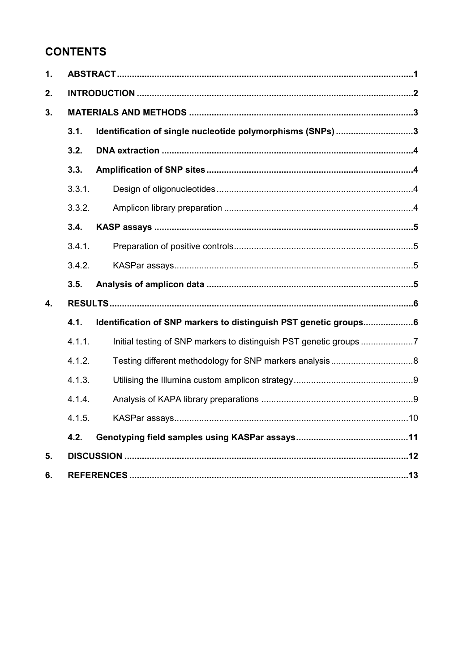## **CONTENTS**

| 1. |        |                                                                   |  |
|----|--------|-------------------------------------------------------------------|--|
| 2. |        |                                                                   |  |
| 3. |        |                                                                   |  |
|    | 3.1.   | Identification of single nucleotide polymorphisms (SNPs) 3        |  |
|    | 3.2.   |                                                                   |  |
|    | 3.3.   |                                                                   |  |
|    | 3.3.1. |                                                                   |  |
|    | 3.3.2. |                                                                   |  |
|    | 3.4.   |                                                                   |  |
|    | 3.4.1. |                                                                   |  |
|    | 3.4.2. |                                                                   |  |
|    | 3.5.   |                                                                   |  |
| 4. |        |                                                                   |  |
|    | 4.1.   | Identification of SNP markers to distinguish PST genetic groups6  |  |
|    | 4.1.1. | Initial testing of SNP markers to distinguish PST genetic groups7 |  |
|    | 4.1.2. |                                                                   |  |
|    | 4.1.3. |                                                                   |  |
|    | 4.1.4. |                                                                   |  |
|    | 4.1.5. |                                                                   |  |
|    | 4.2.   |                                                                   |  |
| 5. |        |                                                                   |  |
| 6. |        |                                                                   |  |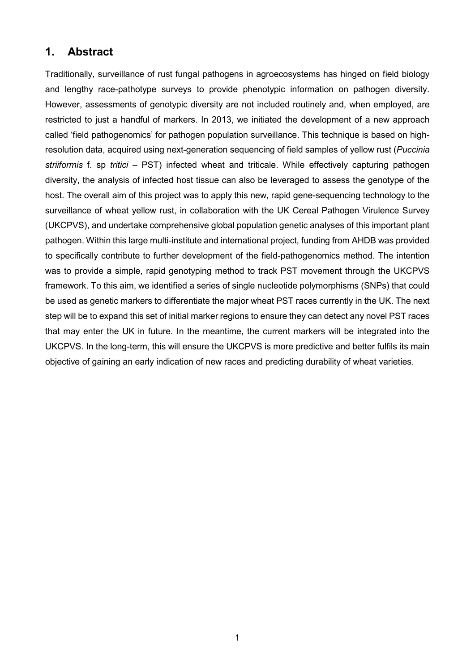## **1. Abstract**

Traditionally, surveillance of rust fungal pathogens in agroecosystems has hinged on field biology and lengthy race-pathotype surveys to provide phenotypic information on pathogen diversity. However, assessments of genotypic diversity are not included routinely and, when employed, are restricted to just a handful of markers. In 2013, we initiated the development of a new approach called 'field pathogenomics' for pathogen population surveillance. This technique is based on highresolution data, acquired using next-generation sequencing of field samples of yellow rust (*Puccinia striiformis* f. sp *tritici* – PST) infected wheat and triticale. While effectively capturing pathogen diversity, the analysis of infected host tissue can also be leveraged to assess the genotype of the host. The overall aim of this project was to apply this new, rapid gene-sequencing technology to the surveillance of wheat yellow rust, in collaboration with the UK Cereal Pathogen Virulence Survey (UKCPVS), and undertake comprehensive global population genetic analyses of this important plant pathogen. Within this large multi-institute and international project, funding from AHDB was provided to specifically contribute to further development of the field-pathogenomics method. The intention was to provide a simple, rapid genotyping method to track PST movement through the UKCPVS framework. To this aim, we identified a series of single nucleotide polymorphisms (SNPs) that could be used as genetic markers to differentiate the major wheat PST races currently in the UK. The next step will be to expand this set of initial marker regions to ensure they can detect any novel PST races that may enter the UK in future. In the meantime, the current markers will be integrated into the UKCPVS. In the long-term, this will ensure the UKCPVS is more predictive and better fulfils its main objective of gaining an early indication of new races and predicting durability of wheat varieties.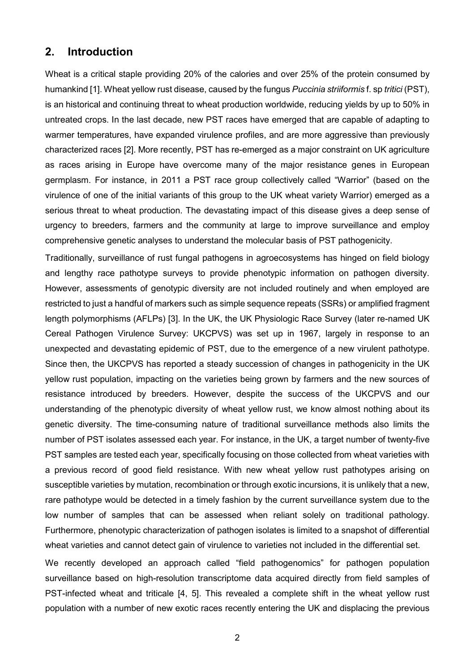#### **2. Introduction**

Wheat is a critical staple providing 20% of the calories and over 25% of the protein consumed by humankind [1]. Wheat yellow rust disease, caused by the fungus *Puccinia striiformis* f. sp *tritici* (PST), is an historical and continuing threat to wheat production worldwide, reducing yields by up to 50% in untreated crops. In the last decade, new PST races have emerged that are capable of adapting to warmer temperatures, have expanded virulence profiles, and are more aggressive than previously characterized races [2]. More recently, PST has re-emerged as a major constraint on UK agriculture as races arising in Europe have overcome many of the major resistance genes in European germplasm. For instance, in 2011 a PST race group collectively called "Warrior" (based on the virulence of one of the initial variants of this group to the UK wheat variety Warrior) emerged as a serious threat to wheat production. The devastating impact of this disease gives a deep sense of urgency to breeders, farmers and the community at large to improve surveillance and employ comprehensive genetic analyses to understand the molecular basis of PST pathogenicity.

Traditionally, surveillance of rust fungal pathogens in agroecosystems has hinged on field biology and lengthy race pathotype surveys to provide phenotypic information on pathogen diversity. However, assessments of genotypic diversity are not included routinely and when employed are restricted to just a handful of markers such as simple sequence repeats (SSRs) or amplified fragment length polymorphisms (AFLPs) [3]. In the UK, the UK Physiologic Race Survey (later re-named UK Cereal Pathogen Virulence Survey: UKCPVS) was set up in 1967, largely in response to an unexpected and devastating epidemic of PST, due to the emergence of a new virulent pathotype. Since then, the UKCPVS has reported a steady succession of changes in pathogenicity in the UK yellow rust population, impacting on the varieties being grown by farmers and the new sources of resistance introduced by breeders. However, despite the success of the UKCPVS and our understanding of the phenotypic diversity of wheat yellow rust, we know almost nothing about its genetic diversity. The time-consuming nature of traditional surveillance methods also limits the number of PST isolates assessed each year. For instance, in the UK, a target number of twenty-five PST samples are tested each year, specifically focusing on those collected from wheat varieties with a previous record of good field resistance. With new wheat yellow rust pathotypes arising on susceptible varieties by mutation, recombination or through exotic incursions, it is unlikely that a new, rare pathotype would be detected in a timely fashion by the current surveillance system due to the low number of samples that can be assessed when reliant solely on traditional pathology. Furthermore, phenotypic characterization of pathogen isolates is limited to a snapshot of differential wheat varieties and cannot detect gain of virulence to varieties not included in the differential set.

We recently developed an approach called "field pathogenomics" for pathogen population surveillance based on high-resolution transcriptome data acquired directly from field samples of PST-infected wheat and triticale [4, 5]. This revealed a complete shift in the wheat yellow rust population with a number of new exotic races recently entering the UK and displacing the previous

2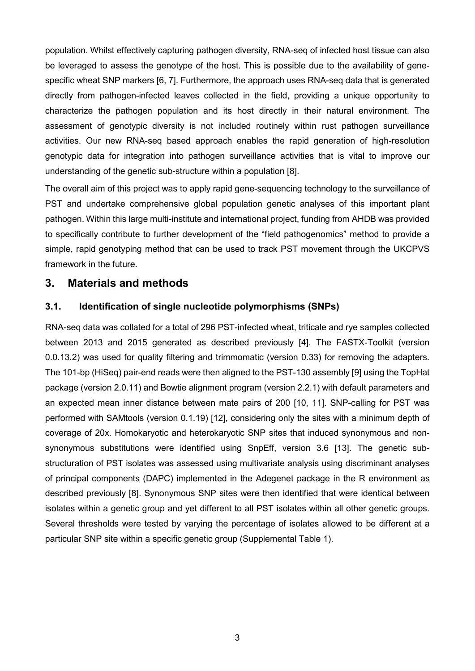population. Whilst effectively capturing pathogen diversity, RNA-seq of infected host tissue can also be leveraged to assess the genotype of the host. This is possible due to the availability of genespecific wheat SNP markers [6, 7]. Furthermore, the approach uses RNA-seq data that is generated directly from pathogen-infected leaves collected in the field, providing a unique opportunity to characterize the pathogen population and its host directly in their natural environment. The assessment of genotypic diversity is not included routinely within rust pathogen surveillance activities. Our new RNA-seq based approach enables the rapid generation of high-resolution genotypic data for integration into pathogen surveillance activities that is vital to improve our understanding of the genetic sub-structure within a population [8].

The overall aim of this project was to apply rapid gene-sequencing technology to the surveillance of PST and undertake comprehensive global population genetic analyses of this important plant pathogen. Within this large multi-institute and international project, funding from AHDB was provided to specifically contribute to further development of the "field pathogenomics" method to provide a simple, rapid genotyping method that can be used to track PST movement through the UKCPVS framework in the future.

### **3. Materials and methods**

#### **3.1. Identification of single nucleotide polymorphisms (SNPs)**

RNA-seq data was collated for a total of 296 PST-infected wheat, triticale and rye samples collected between 2013 and 2015 generated as described previously [4]. The FASTX-Toolkit (version 0.0.13.2) was used for quality filtering and trimmomatic (version 0.33) for removing the adapters. The 101-bp (HiSeq) pair-end reads were then aligned to the PST-130 assembly [9] using the TopHat package (version 2.0.11) and Bowtie alignment program (version 2.2.1) with default parameters and an expected mean inner distance between mate pairs of 200 [10, 11]. SNP-calling for PST was performed with SAMtools (version 0.1.19) [12], considering only the sites with a minimum depth of coverage of 20x. Homokaryotic and heterokaryotic SNP sites that induced synonymous and nonsynonymous substitutions were identified using SnpEff, version 3.6 [13]. The genetic substructuration of PST isolates was assessed using multivariate analysis using discriminant analyses of principal components (DAPC) implemented in the Adegenet package in the R environment as described previously [8]. Synonymous SNP sites were then identified that were identical between isolates within a genetic group and yet different to all PST isolates within all other genetic groups. Several thresholds were tested by varying the percentage of isolates allowed to be different at a particular SNP site within a specific genetic group (Supplemental Table 1).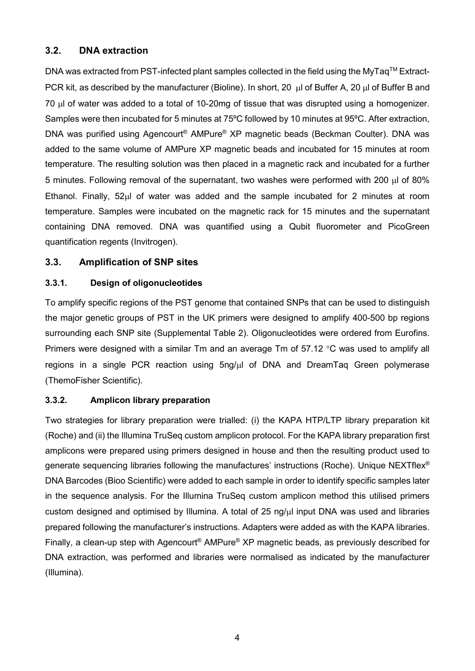### **3.2. DNA extraction**

DNA was extracted from PST-infected plant samples collected in the field using the MyTaq™ Extract-PCR kit, as described by the manufacturer (Bioline). In short, 20 µl of Buffer A, 20 µl of Buffer B and 70 µl of water was added to a total of 10-20mg of tissue that was disrupted using a homogenizer. Samples were then incubated for 5 minutes at 75ºC followed by 10 minutes at 95ºC. After extraction, DNA was purified using Agencourt® AMPure® XP magnetic beads (Beckman Coulter). DNA was added to the same volume of AMPure XP magnetic beads and incubated for 15 minutes at room temperature. The resulting solution was then placed in a magnetic rack and incubated for a further 5 minutes. Following removal of the supernatant, two washes were performed with 200 µl of 80% Ethanol. Finally, 52µl of water was added and the sample incubated for 2 minutes at room temperature. Samples were incubated on the magnetic rack for 15 minutes and the supernatant containing DNA removed. DNA was quantified using a Qubit fluorometer and PicoGreen quantification regents (Invitrogen).

### **3.3. Amplification of SNP sites**

#### **3.3.1. Design of oligonucleotides**

To amplify specific regions of the PST genome that contained SNPs that can be used to distinguish the major genetic groups of PST in the UK primers were designed to amplify 400-500 bp regions surrounding each SNP site (Supplemental Table 2). Oligonucleotides were ordered from Eurofins. Primers were designed with a similar Tm and an average Tm of 57.12 °C was used to amplify all regions in a single PCR reaction using 5ng/µl of DNA and DreamTaq Green polymerase (ThemoFisher Scientific).

#### **3.3.2. Amplicon library preparation**

Two strategies for library preparation were trialled: (i) the KAPA HTP/LTP library preparation kit (Roche) and (ii) the Illumina TruSeq custom amplicon protocol. For the KAPA library preparation first amplicons were prepared using primers designed in house and then the resulting product used to generate sequencing libraries following the manufactures' instructions (Roche). Unique NEXTflex® DNA Barcodes (Bioo Scientific) were added to each sample in order to identify specific samples later in the sequence analysis. For the Illumina TruSeq custom amplicon method this utilised primers custom designed and optimised by Illumina. A total of 25 ng/µl input DNA was used and libraries prepared following the manufacturer's instructions. Adapters were added as with the KAPA libraries. Finally, a clean-up step with Agencourt® AMPure® XP magnetic beads, as previously described for DNA extraction, was performed and libraries were normalised as indicated by the manufacturer (Illumina).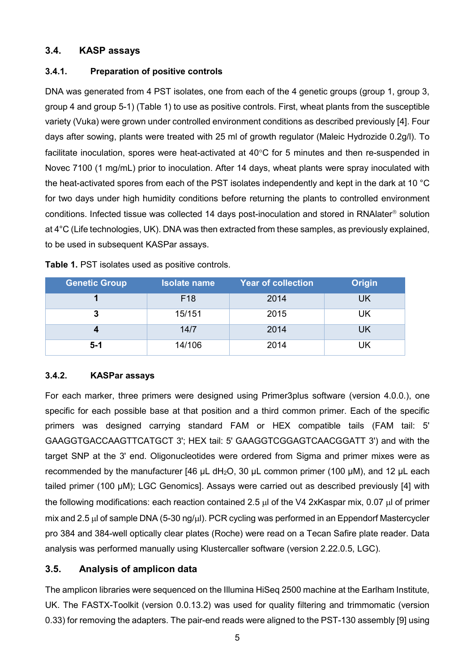### **3.4. KASP assays**

#### **3.4.1. Preparation of positive controls**

DNA was generated from 4 PST isolates, one from each of the 4 genetic groups (group 1, group 3, group 4 and group 5-1) [\(Table 1\)](#page-7-0) to use as positive controls. First, wheat plants from the susceptible variety (Vuka) were grown under controlled environment conditions as described previously [4]. Four days after sowing, plants were treated with 25 ml of growth regulator (Maleic Hydrozide 0.2g/l). To facilitate inoculation, spores were heat-activated at 40°C for 5 minutes and then re-suspended in Novec 7100 (1 mg/mL) prior to inoculation. After 14 days, wheat plants were spray inoculated with the heat-activated spores from each of the PST isolates independently and kept in the dark at 10 °C for two days under high humidity conditions before returning the plants to controlled environment conditions. Infected tissue was collected 14 days post-inoculation and stored in RNA later<sup>®</sup> solution at 4°C (Life technologies, UK). DNA was then extracted from these samples, as previously explained, to be used in subsequent KASPar assays.

| <b>Genetic Group</b> | <b>Isolate name</b> | <b>Year of collection</b> | <b>Origin</b> |  |
|----------------------|---------------------|---------------------------|---------------|--|
|                      | F <sub>18</sub>     | 2014                      | UK            |  |
|                      | 15/151              | 2015                      | UK            |  |
|                      | 14/7                | 2014                      | UK            |  |
| $5 - 1$              | 14/106              | 2014                      | UK            |  |

<span id="page-7-0"></span>

| Table 1. PST isolates used as positive controls. |  |
|--------------------------------------------------|--|
|--------------------------------------------------|--|

#### **3.4.2. KASPar assays**

For each marker, three primers were designed using Primer3plus software (version 4.0.0.), one specific for each possible base at that position and a third common primer. Each of the specific primers was designed carrying standard FAM or HEX compatible tails (FAM tail: 5' GAAGGTGACCAAGTTCATGCT 3'; HEX tail: 5' GAAGGTCGGAGTCAACGGATT 3') and with the target SNP at the 3' end. Oligonucleotides were ordered from Sigma and primer mixes were as recommended by the manufacturer  $[46 \mu L \, dH_2O, 30 \mu L$  common primer (100 μM), and 12  $\mu L$  each tailed primer (100 μM); LGC Genomics]. Assays were carried out as described previously [4] with the following modifications: each reaction contained 2.5 µl of the V4 2xKaspar mix, 0.07 µl of primer mix and 2.5 µl of sample DNA (5-30 ng/µl). PCR cycling was performed in an Eppendorf Mastercycler pro 384 and 384-well optically clear plates (Roche) were read on a Tecan Safire plate reader. Data analysis was performed manually using Klustercaller software (version 2.22.0.5, LGC).

### **3.5. Analysis of amplicon data**

The amplicon libraries were sequenced on the Illumina HiSeq 2500 machine at the Earlham Institute, UK. The FASTX-Toolkit (version 0.0.13.2) was used for quality filtering and trimmomatic (version 0.33) for removing the adapters. The pair-end reads were aligned to the PST-130 assembly [9] using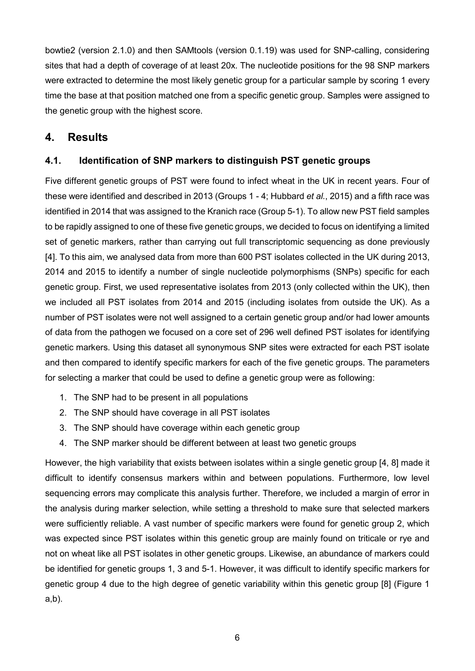bowtie2 (version 2.1.0) and then SAMtools (version 0.1.19) was used for SNP-calling, considering sites that had a depth of coverage of at least 20x. The nucleotide positions for the 98 SNP markers were extracted to determine the most likely genetic group for a particular sample by scoring 1 every time the base at that position matched one from a specific genetic group. Samples were assigned to the genetic group with the highest score.

## **4. Results**

## **4.1. Identification of SNP markers to distinguish PST genetic groups**

Five different genetic groups of PST were found to infect wheat in the UK in recent years. Four of these were identified and described in 2013 (Groups 1 - 4; Hubbard *et al.*, 2015) and a fifth race was identified in 2014 that was assigned to the Kranich race (Group 5-1). To allow new PST field samples to be rapidly assigned to one of these five genetic groups, we decided to focus on identifying a limited set of genetic markers, rather than carrying out full transcriptomic sequencing as done previously [4]. To this aim, we analysed data from more than 600 PST isolates collected in the UK during 2013, 2014 and 2015 to identify a number of single nucleotide polymorphisms (SNPs) specific for each genetic group. First, we used representative isolates from 2013 (only collected within the UK), then we included all PST isolates from 2014 and 2015 (including isolates from outside the UK). As a number of PST isolates were not well assigned to a certain genetic group and/or had lower amounts of data from the pathogen we focused on a core set of 296 well defined PST isolates for identifying genetic markers. Using this dataset all synonymous SNP sites were extracted for each PST isolate and then compared to identify specific markers for each of the five genetic groups. The parameters for selecting a marker that could be used to define a genetic group were as following:

- 1. The SNP had to be present in all populations
- 2. The SNP should have coverage in all PST isolates
- 3. The SNP should have coverage within each genetic group
- 4. The SNP marker should be different between at least two genetic groups

However, the high variability that exists between isolates within a single genetic group [4, 8] made it difficult to identify consensus markers within and between populations. Furthermore, low level sequencing errors may complicate this analysis further. Therefore, we included a margin of error in the analysis during marker selection, while setting a threshold to make sure that selected markers were sufficiently reliable. A vast number of specific markers were found for genetic group 2, which was expected since PST isolates within this genetic group are mainly found on triticale or rye and not on wheat like all PST isolates in other genetic groups. Likewise, an abundance of markers could be identified for genetic groups 1, 3 and 5-1. However, it was difficult to identify specific markers for genetic group 4 due to the high degree of genetic variability within this genetic group [8] (Figure 1 a,b).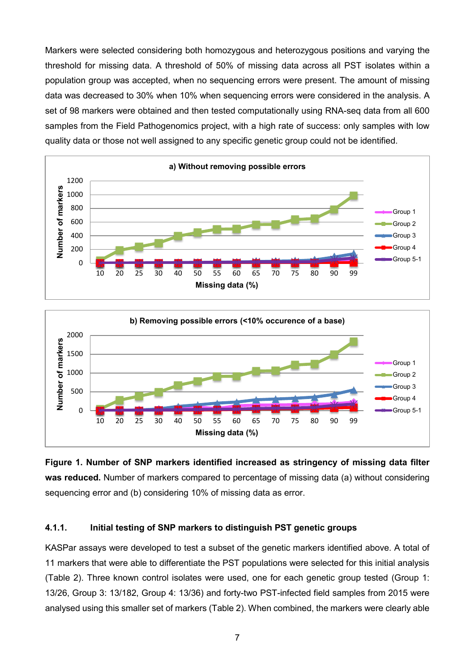Markers were selected considering both homozygous and heterozygous positions and varying the threshold for missing data. A threshold of 50% of missing data across all PST isolates within a population group was accepted, when no sequencing errors were present. The amount of missing data was decreased to 30% when 10% when sequencing errors were considered in the analysis. A set of 98 markers were obtained and then tested computationally using RNA-seq data from all 600 samples from the Field Pathogenomics project, with a high rate of success: only samples with low quality data or those not well assigned to any specific genetic group could not be identified.





**Figure 1. Number of SNP markers identified increased as stringency of missing data filter was reduced.** Number of markers compared to percentage of missing data (a) without considering sequencing error and (b) considering 10% of missing data as error.

#### **4.1.1. Initial testing of SNP markers to distinguish PST genetic groups**

KASPar assays were developed to test a subset of the genetic markers identified above. A total of 11 markers that were able to differentiate the PST populations were selected for this initial analysis (Table 2). Three known control isolates were used, one for each genetic group tested (Group 1: 13/26, Group 3: 13/182, Group 4: 13/36) and forty-two PST-infected field samples from 2015 were analysed using this smaller set of markers (Table 2). When combined, the markers were clearly able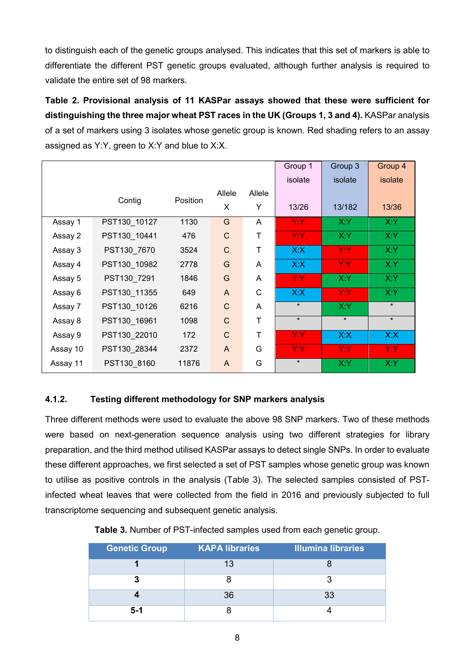to distinguish each of the genetic groups analysed. This indicates that this set of markers is able to differentiate the different PST genetic groups evaluated, although further analysis is required to validate the entire set of 98 markers.

**Table 2. Provisional analysis of 11 KASPar assays showed that these were sufficient for distinguishing the three major wheat PST races in the UK (Groups 1, 3 and 4).** KASPar analysis of a set of markers using 3 isolates whose genetic group is known. Red shading refers to an assay assigned as Y:Y, green to X:Y and blue to X:X.

|          |              |          |              |              | Group 1 | Group 3 | Group 4 |
|----------|--------------|----------|--------------|--------------|---------|---------|---------|
|          |              |          |              |              | isolate | isolate | isolate |
|          |              |          | Allele       | Allele       |         |         |         |
|          | Contig       | Position | X            | Υ            | 13/26   | 13/182  | 13/36   |
| Assay 1  | PST130_10127 | 1130     | G            | A            | Y:Y     | X:Y     | X:Y     |
| Assay 2  | PST130_10441 | 476      | $\mathsf{C}$ | T            | Y:Y     | X:Y     | X:Y     |
| Assay 3  | PST130_7670  | 3524     | $\mathsf{C}$ | T            | X:X     | Y:Y     | X:Y     |
| Assay 4  | PST130_10982 | 2778     | G            | A            | X:X     | Y:Y:    | X:Y     |
| Assay 5  | PST130_7291  | 1846     | G            | A            | Y:Y:    | X:Y     | X:Y     |
| Assay 6  | PST130_11355 | 649      | $\mathsf{A}$ | $\mathsf{C}$ | X:X     | Y:Y:    | X:Y     |
| Assay 7  | PST130_10126 | 6216     | $\mathsf{C}$ | A            | $\star$ | X:Y     | $\star$ |
| Assay 8  | PST130_16961 | 1098     | $\mathsf{C}$ | T            | $\star$ | $\star$ | $\star$ |
| Assay 9  | PST130_22010 | 172      | $\mathsf{C}$ | $\mathsf T$  | Y:Y     | X:X     | X:X     |
| Assay 10 | PST130 28344 | 2372     | A            | G            | Y:Y:    | Y:Y:    | Y:Y:    |
| Assay 11 | PST130 8160  | 11876    | A            | G            | $\star$ | X:Y     | X:Y     |

### **4.1.2. Testing different methodology for SNP markers analysis**

Three different methods were used to evaluate the above 98 SNP markers. Two of these methods were based on next-generation sequence analysis using two different strategies for library preparation, and the third method utilised KASPar assays to detect single SNPs. In order to evaluate these different approaches, we first selected a set of PST samples whose genetic group was known to utilise as positive controls in the analysis (Table 3). The selected samples consisted of PSTinfected wheat leaves that were collected from the field in 2016 and previously subjected to full transcriptome sequencing and subsequent genetic analysis.

| Table 3. Number of PST-infected samples used from each genetic group. |  |  |
|-----------------------------------------------------------------------|--|--|
|-----------------------------------------------------------------------|--|--|

| <b>Genetic Group</b> | <b>KAPA libraries</b> | <b>Illumina libraries</b> |
|----------------------|-----------------------|---------------------------|
|                      |                       |                           |
|                      |                       |                           |
|                      | 36                    | 33                        |
| $5 - 1$              |                       |                           |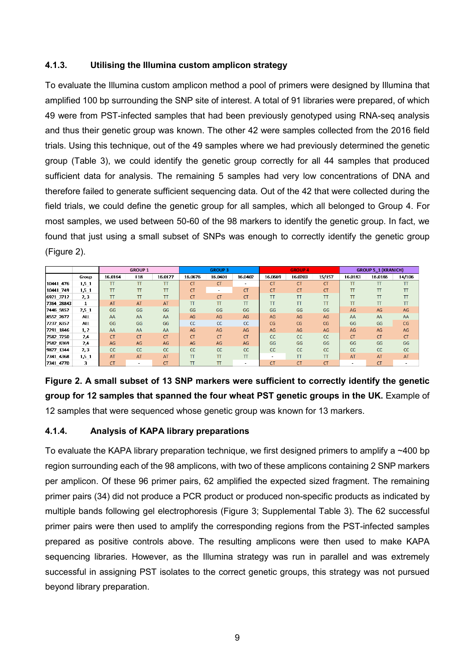#### **4.1.3. Utilising the Illumina custom amplicon strategy**

To evaluate the Illumina custom amplicon method a pool of primers were designed by Illumina that amplified 100 bp surrounding the SNP site of interest. A total of 91 libraries were prepared, of which 49 were from PST-infected samples that had been previously genotyped using RNA-seq analysis and thus their genetic group was known. The other 42 were samples collected from the 2016 field trials. Using this technique, out of the 49 samples where we had previously determined the genetic group (Table 3), we could identify the genetic group correctly for all 44 samples that produced sufficient data for analysis. The remaining 5 samples had very low concentrations of DNA and therefore failed to generate sufficient sequencing data. Out of the 42 that were collected during the field trials, we could define the genetic group for all samples, which all belonged to Group 4. For most samples, we used between 50-60 of the 98 markers to identify the genetic group. In fact, we found that just using a small subset of SNPs was enough to correctly identify the genetic group (Figure 2).

|            |              | <b>GROUP 1</b> |               |           | <b>GROUP 3</b> |               |                          | <b>GROUP 4</b> |           |               | <b>GROUP 5_1 (KRANICH)</b> |               |           |
|------------|--------------|----------------|---------------|-----------|----------------|---------------|--------------------------|----------------|-----------|---------------|----------------------------|---------------|-----------|
|            | Group        | 16.0164        | <b>F18</b>    | 16.0127   | 16.0676        | 16.0401       | 16.0402                  | 16.0669        | 16.0203   | 15/157        | 16.0183                    | 16.0186       | 14/106    |
| 10441 476  | 1,5_1        | TT             | $_{\text{T}}$ | <b>TT</b> | <b>CT</b>      | <b>CT</b>     | $\overline{\phantom{a}}$ | <b>CT</b>      | <b>CT</b> | <b>CT</b>     | π                          | $_{\text{T}}$ | π         |
| 10441 749  | 1,5,1        | <b>TT</b>      | π             | TT        | <b>CT</b>      | <b>Sec.</b>   | <b>CT</b>                | <b>CT</b>      | <b>CT</b> | <b>CT</b>     | π                          | π             | T         |
| 6921 3712  | 2, 3         | ΤT             | π             | TΤ        | <b>CT</b>      | <b>CT</b>     | <b>CT</b>                | ΤT             | ΤT        | TΤ            | π                          | π             | π         |
| 7364 28843 | $\mathbf{1}$ | AT             | <b>AT</b>     | AT        | π              | $_{\text{T}}$ | T                        | TT             | TT        | TΤ            | π                          | $_{\text{T}}$ | TT        |
| 7446 5852  | 2,5,1        | GG             | GG            | GG        | GG             | GG            | GG                       | GG             | GG        | GG            | AG                         | AG            | AG        |
| 8552 2672  | ALL.         | AA             | AA            | AA        | AG             | AG            | AG                       | AG             | AG        | AG            | AA                         | AA            | AA        |
| 7237_8357  | ALL.         | GG             | GG            | GG        | <sub>CC</sub>  | cc            | <sub>cc</sub>            | CG             | CG        | CG            | GG                         | GG            | CG        |
| 7291 1846  | 1, 2         | AA             | AA            | AA        | AG             | AG            | AG                       | AG             | AG        | AG            | AG                         | AG            | AG        |
| 7582 7250  | 2,4          | <b>CT</b>      | <b>CT</b>     | <b>CT</b> | <b>CT</b>      | <b>CT</b>     | <b>CT</b>                | cc             | <b>CC</b> | <sub>CC</sub> | <b>CT</b>                  | <b>CT</b>     | <b>CT</b> |
| 7582 8369  | 2,4          | AG             | AG            | AG        | AG             | AG            | AG                       | GG             | GG        | GG            | GG                         | GG            | GG        |
| 9827 1344  | 2,3          | cc             | cc            | cc        | cc             | <b>CC</b>     | <b>CC</b>                | cc             | cc        | <b>CC</b>     | <b>CC</b>                  | cc            | cc        |
| 7341_4368  | 1,5,1        | AT             | AT            | <b>AT</b> | π              | π             | $_{\text{T}}$            | $\sim$         | <b>TT</b> | TΤ            | AT                         | AT            | AT        |
| 7341 4770  | 3            | <b>CT</b>      | $\sim$        | <b>CT</b> | π              | π             | $\sim$                   | <b>CT</b>      | <b>CT</b> | <b>CT</b>     | $\sim$                     | <b>CT</b>     |           |

**Figure 2. A small subset of 13 SNP markers were sufficient to correctly identify the genetic group for 12 samples that spanned the four wheat PST genetic groups in the UK.** Example of 12 samples that were sequenced whose genetic group was known for 13 markers.

#### **4.1.4. Analysis of KAPA library preparations**

To evaluate the KAPA library preparation technique, we first designed primers to amplify a ~400 bp region surrounding each of the 98 amplicons, with two of these amplicons containing 2 SNP markers per amplicon. Of these 96 primer pairs, 62 amplified the expected sized fragment. The remaining primer pairs (34) did not produce a PCR product or produced non-specific products as indicated by multiple bands following gel electrophoresis (Figure 3; Supplemental Table 3). The 62 successful primer pairs were then used to amplify the corresponding regions from the PST-infected samples prepared as positive controls above. The resulting amplicons were then used to make KAPA sequencing libraries. However, as the Illumina strategy was run in parallel and was extremely successful in assigning PST isolates to the correct genetic groups, this strategy was not pursued beyond library preparation.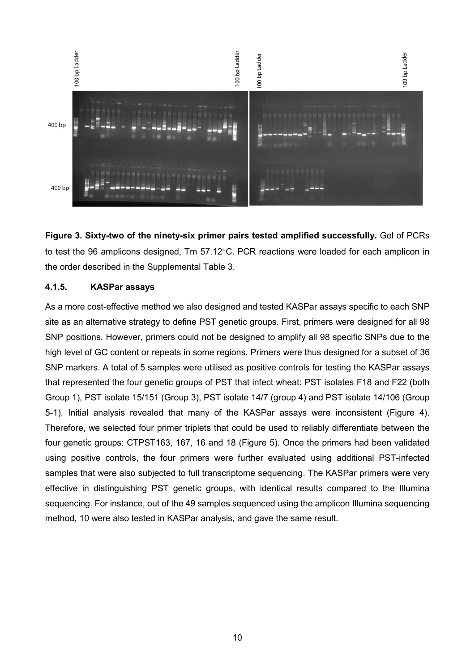

**Figure 3. Sixty-two of the ninety-six primer pairs tested amplified successfully.** Gel of PCRs to test the 96 amplicons designed, Tm 57.12°C. PCR reactions were loaded for each amplicon in the order described in the Supplemental Table 3.

#### **4.1.5. KASPar assays**

As a more cost-effective method we also designed and tested KASPar assays specific to each SNP site as an alternative strategy to define PST genetic groups. First, primers were designed for all 98 SNP positions. However, primers could not be designed to amplify all 98 specific SNPs due to the high level of GC content or repeats in some regions. Primers were thus designed for a subset of 36 SNP markers. A total of 5 samples were utilised as positive controls for testing the KASPar assays that represented the four genetic groups of PST that infect wheat: PST isolates F18 and F22 (both Group 1), PST isolate 15/151 (Group 3), PST isolate 14/7 (group 4) and PST isolate 14/106 (Group 5-1). Initial analysis revealed that many of the KASPar assays were inconsistent (Figure 4). Therefore, we selected four primer triplets that could be used to reliably differentiate between the four genetic groups: CTPST163, 167, 16 and 18 (Figure 5). Once the primers had been validated using positive controls, the four primers were further evaluated using additional PST-infected samples that were also subjected to full transcriptome sequencing. The KASPar primers were very effective in distinguishing PST genetic groups, with identical results compared to the Illumina sequencing. For instance, out of the 49 samples sequenced using the amplicon Illumina sequencing method, 10 were also tested in KASPar analysis, and gave the same result.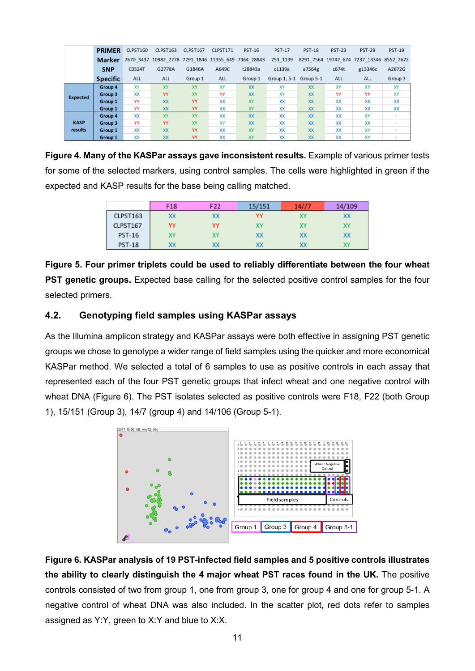|                 | <b>PRIMER</b>   | CLPST160 | CLPST163  | CLPST167 | CLPST171 | <b>PST-16</b>                                       | <b>PST-17</b> | <b>PST-18</b> | <b>PST-23</b> | <b>PST-29</b>                  | <b>PST-19</b> |
|-----------------|-----------------|----------|-----------|----------|----------|-----------------------------------------------------|---------------|---------------|---------------|--------------------------------|---------------|
|                 | <b>Marker</b>   |          |           |          |          | 7670 3437 10982 2778 7291 1846 11355 649 7364 28843 | 753 1139      | 8291 7564     |               | 19742 674 7237 13346 8552 2672 |               |
|                 | <b>SNP</b>      | C3524T   | G2778A    | G1846A   | A649C    | t28843a                                             | c1139a        | a7564g        | c674t         | g13346c                        | A2672G        |
|                 | <b>Specific</b> | ALL      | ALL       | Group 1  | ALL      | Group 1                                             | Group 1, 5-1  | Group 5-1     | ALL           | ALL                            | Group 3       |
|                 | Group 4         | XY       | XY        | XY       | XY       | XX                                                  | XY            | XX            | XY            | XY                             | XY            |
| <b>Expected</b> | Group 3         | XX       | YY        | XY       | YY       | XX                                                  | XY            | XX            | YY            | YY                             | XY            |
|                 | Group 1         | YY       | <b>XX</b> | YY       | XX       | XY                                                  | XX            | XX            | XX            | XX                             | XX            |
|                 | Group 1         | YY       | <b>XX</b> | YY       | XX       | XY                                                  | XX            | XX            | XX            | XX                             | XX            |
|                 | Group 4         | XX       | XY        | XY       | XX       | XX                                                  | XX            | XX            | XX            | XY                             | $\sim$        |
| <b>KASP</b>     | Group 3         | YY       | YY        | XY       | XY       | XX                                                  | XX            | XX            | XX            | XX                             |               |
| results         | Group 1         | XX       | <b>XX</b> | YY       | XX       | XY                                                  | XX            | XX            | XX            | XY                             |               |
|                 | Group 1         | XX       | XX        | YY       | XX       | XY                                                  | XX            | XX            | XX            | XY                             |               |

**Figure 4. Many of the KASPar assays gave inconsistent results.** Example of various primer tests for some of the selected markers, using control samples. The cells were highlighted in green if the expected and KASP results for the base being calling matched.

|               | F <sub>18</sub> | F <sub>22</sub> | 15/151 | 14/7 | 14/109 |
|---------------|-----------------|-----------------|--------|------|--------|
| CLPST163      | XХ              |                 | YY     |      | XX     |
| CLPST167      | YY              | YY              | X٧     | X١   | X٢     |
| <b>PST-16</b> | X٧              |                 | XХ     | XX   | XX     |
| <b>PST-18</b> | XX              |                 | XХ     | XX   | XY     |

**Figure 5. Four primer triplets could be used to reliably differentiate between the four wheat PST genetic groups.** Expected base calling for the selected positive control samples for the four selected primers.

### **4.2. Genotyping field samples using KASPar assays**

As the Illumina amplicon strategy and KASPar assays were both effective in assigning PST genetic groups we chose to genotype a wider range of field samples using the quicker and more economical KASPar method. We selected a total of 6 samples to use as positive controls in each assay that represented each of the four PST genetic groups that infect wheat and one negative control with wheat DNA (Figure 6). The PST isolates selected as positive controls were F18, F22 (both Group 1), 15/151 (Group 3), 14/7 (group 4) and 14/106 (Group 5-1).



**Figure 6. KASPar analysis of 19 PST-infected field samples and 5 positive controls illustrates the ability to clearly distinguish the 4 major wheat PST races found in the UK.** The positive controls consisted of two from group 1, one from group 3, one for group 4 and one for group 5-1. A negative control of wheat DNA was also included. In the scatter plot, red dots refer to samples assigned as Y:Y, green to X:Y and blue to X:X.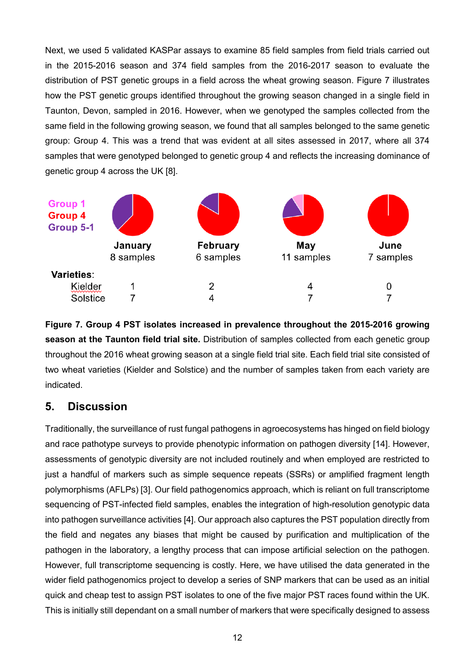Next, we used 5 validated KASPar assays to examine 85 field samples from field trials carried out in the 2015-2016 season and 374 field samples from the 2016-2017 season to evaluate the distribution of PST genetic groups in a field across the wheat growing season. Figure 7 illustrates how the PST genetic groups identified throughout the growing season changed in a single field in Taunton, Devon, sampled in 2016. However, when we genotyped the samples collected from the same field in the following growing season, we found that all samples belonged to the same genetic group: Group 4. This was a trend that was evident at all sites assessed in 2017, where all 374 samples that were genotyped belonged to genetic group 4 and reflects the increasing dominance of genetic group 4 across the UK [8].



**Figure 7. Group 4 PST isolates increased in prevalence throughout the 2015-2016 growing season at the Taunton field trial site.** Distribution of samples collected from each genetic group throughout the 2016 wheat growing season at a single field trial site. Each field trial site consisted of two wheat varieties (Kielder and Solstice) and the number of samples taken from each variety are indicated.

## **5. Discussion**

Traditionally, the surveillance of rust fungal pathogens in agroecosystems has hinged on field biology and race pathotype surveys to provide phenotypic information on pathogen diversity [14]. However, assessments of genotypic diversity are not included routinely and when employed are restricted to just a handful of markers such as simple sequence repeats (SSRs) or amplified fragment length polymorphisms (AFLPs) [3]. Our field pathogenomics approach, which is reliant on full transcriptome sequencing of PST-infected field samples, enables the integration of high-resolution genotypic data into pathogen surveillance activities [4]. Our approach also captures the PST population directly from the field and negates any biases that might be caused by purification and multiplication of the pathogen in the laboratory, a lengthy process that can impose artificial selection on the pathogen. However, full transcriptome sequencing is costly. Here, we have utilised the data generated in the wider field pathogenomics project to develop a series of SNP markers that can be used as an initial quick and cheap test to assign PST isolates to one of the five major PST races found within the UK. This is initially still dependant on a small number of markers that were specifically designed to assess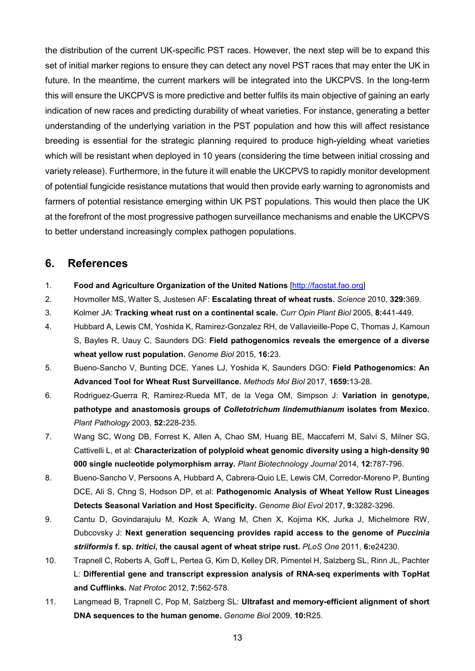the distribution of the current UK-specific PST races. However, the next step will be to expand this set of initial marker regions to ensure they can detect any novel PST races that may enter the UK in future. In the meantime, the current markers will be integrated into the UKCPVS. In the long-term this will ensure the UKCPVS is more predictive and better fulfils its main objective of gaining an early indication of new races and predicting durability of wheat varieties. For instance, generating a better understanding of the underlying variation in the PST population and how this will affect resistance breeding is essential for the strategic planning required to produce high-yielding wheat varieties which will be resistant when deployed in 10 years (considering the time between initial crossing and variety release). Furthermore, in the future it will enable the UKCPVS to rapidly monitor development of potential fungicide resistance mutations that would then provide early warning to agronomists and farmers of potential resistance emerging within UK PST populations. This would then place the UK at the forefront of the most progressive pathogen surveillance mechanisms and enable the UKCPVS to better understand increasingly complex pathogen populations.

## **6. References**

- 1. **Food and Agriculture Organization of the United Nations** [\[http://faostat.fao.org\]](http://faostat.fao.org/)
- 2. Hovmoller MS, Walter S, Justesen AF: **Escalating threat of wheat rusts.** *Science* 2010, **329:**369.
- 3. Kolmer JA: **Tracking wheat rust on a continental scale.** *Curr Opin Plant Biol* 2005, **8:**441-449.
- 4. Hubbard A, Lewis CM, Yoshida K, Ramirez-Gonzalez RH, de Vallavieille-Pope C, Thomas J, Kamoun S, Bayles R, Uauy C, Saunders DG: **Field pathogenomics reveals the emergence of a diverse wheat yellow rust population.** *Genome Biol* 2015, **16:**23.
- 5. Bueno-Sancho V, Bunting DCE, Yanes LJ, Yoshida K, Saunders DGO: **Field Pathogenomics: An Advanced Tool for Wheat Rust Surveillance.** *Methods Mol Biol* 2017, **1659:**13-28.
- 6. Rodriguez-Guerra R, Ramirez-Rueda MT, de la Vega OM, Simpson J: **Variation in genotype, pathotype and anastomosis groups of** *Colletotrichum lindemuthianum* **isolates from Mexico.** *Plant Pathology* 2003, **52:**228-235.
- 7. Wang SC, Wong DB, Forrest K, Allen A, Chao SM, Huang BE, Maccaferri M, Salvi S, Milner SG, Cattivelli L, et al: **Characterization of polyploid wheat genomic diversity using a high-density 90 000 single nucleotide polymorphism array.** *Plant Biotechnology Journal* 2014, **12:**787-796.
- 8. Bueno-Sancho V, Persoons A, Hubbard A, Cabrera-Quio LE, Lewis CM, Corredor-Moreno P, Bunting DCE, Ali S, Chng S, Hodson DP, et al: **Pathogenomic Analysis of Wheat Yellow Rust Lineages Detects Seasonal Variation and Host Specificity.** *Genome Biol Evol* 2017, **9:**3282-3296.
- 9. Cantu D, Govindarajulu M, Kozik A, Wang M, Chen X, Kojima KK, Jurka J, Michelmore RW, Dubcovsky J: **Next generation sequencing provides rapid access to the genome of** *Puccinia striiformis* **f. sp.** *tritici***, the causal agent of wheat stripe rust.** *PLoS One* 2011, **6:**e24230.
- 10. Trapnell C, Roberts A, Goff L, Pertea G, Kim D, Kelley DR, Pimentel H, Salzberg SL, Rinn JL, Pachter L: **Differential gene and transcript expression analysis of RNA-seq experiments with TopHat and Cufflinks.** *Nat Protoc* 2012, **7:**562-578.
- 11. Langmead B, Trapnell C, Pop M, Salzberg SL: **Ultrafast and memory-efficient alignment of short DNA sequences to the human genome.** *Genome Biol* 2009, **10:**R25.